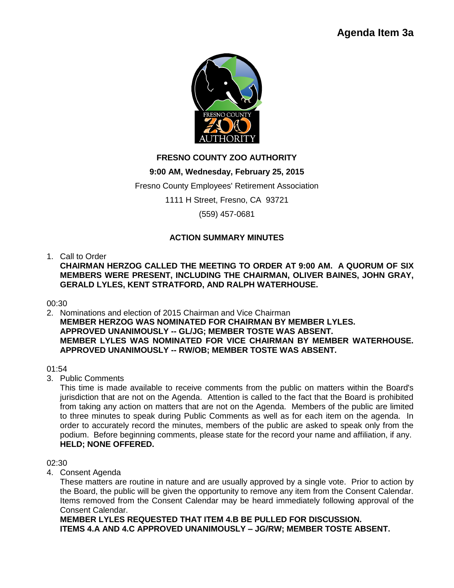

# **FRESNO COUNTY ZOO AUTHORITY**

## **9:00 AM, Wednesday, February 25, 2015**

Fresno County Employees' Retirement Association

1111 H Street, Fresno, CA 93721

(559) 457-0681

## **ACTION SUMMARY MINUTES**

1. Call to Order

**CHAIRMAN HERZOG CALLED THE MEETING TO ORDER AT 9:00 AM. A QUORUM OF SIX MEMBERS WERE PRESENT, INCLUDING THE CHAIRMAN, OLIVER BAINES, JOHN GRAY, GERALD LYLES, KENT STRATFORD, AND RALPH WATERHOUSE.**

00:30

2. Nominations and election of 2015 Chairman and Vice Chairman **MEMBER HERZOG WAS NOMINATED FOR CHAIRMAN BY MEMBER LYLES. APPROVED UNANIMOUSLY -- GL/JG; MEMBER TOSTE WAS ABSENT. MEMBER LYLES WAS NOMINATED FOR VICE CHAIRMAN BY MEMBER WATERHOUSE. APPROVED UNANIMOUSLY -- RW/OB; MEMBER TOSTE WAS ABSENT.**

## 01:54

3. Public Comments

This time is made available to receive comments from the public on matters within the Board's jurisdiction that are not on the Agenda. Attention is called to the fact that the Board is prohibited from taking any action on matters that are not on the Agenda. Members of the public are limited to three minutes to speak during Public Comments as well as for each item on the agenda. In order to accurately record the minutes, members of the public are asked to speak only from the podium. Before beginning comments, please state for the record your name and affiliation, if any. **HELD; NONE OFFERED.**

02:30

4. Consent Agenda

These matters are routine in nature and are usually approved by a single vote. Prior to action by the Board, the public will be given the opportunity to remove any item from the Consent Calendar. Items removed from the Consent Calendar may be heard immediately following approval of the Consent Calendar.

**MEMBER LYLES REQUESTED THAT ITEM 4.B BE PULLED FOR DISCUSSION. ITEMS 4.A AND 4.C APPROVED UNANIMOUSLY – JG/RW; MEMBER TOSTE ABSENT.**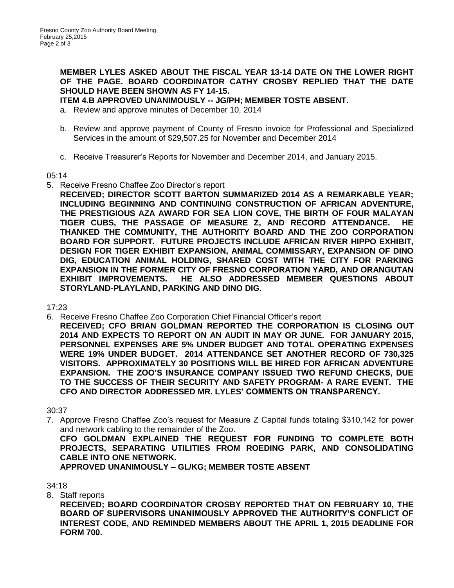**MEMBER LYLES ASKED ABOUT THE FISCAL YEAR 13-14 DATE ON THE LOWER RIGHT OF THE PAGE. BOARD COORDINATOR CATHY CROSBY REPLIED THAT THE DATE SHOULD HAVE BEEN SHOWN AS FY 14-15.**

**ITEM 4.B APPROVED UNANIMOUSLY -- JG/PH; MEMBER TOSTE ABSENT.**

- a. Review and approve minutes of December 10, 2014
- b. Review and approve payment of County of Fresno invoice for Professional and Specialized Services in the amount of \$29,507.25 for November and December 2014
- c. Receive Treasurer's Reports for November and December 2014, and January 2015.

#### 05:14

- 5. Receive Fresno Chaffee Zoo Director's report
	- **RECEIVED; DIRECTOR SCOTT BARTON SUMMARIZED 2014 AS A REMARKABLE YEAR; INCLUDING BEGINNING AND CONTINUING CONSTRUCTION OF AFRICAN ADVENTURE, THE PRESTIGIOUS AZA AWARD FOR SEA LION COVE, THE BIRTH OF FOUR MALAYAN TIGER CUBS, THE PASSAGE OF MEASURE Z, AND RECORD ATTENDANCE. HE THANKED THE COMMUNITY, THE AUTHORITY BOARD AND THE ZOO CORPORATION BOARD FOR SUPPORT. FUTURE PROJECTS INCLUDE AFRICAN RIVER HIPPO EXHIBIT, DESIGN FOR TIGER EXHIBIT EXPANSION, ANIMAL COMMISSARY, EXPANSION OF DINO DIG, EDUCATION ANIMAL HOLDING, SHARED COST WITH THE CITY FOR PARKING EXPANSION IN THE FORMER CITY OF FRESNO CORPORATION YARD, AND ORANGUTAN EXHIBIT IMPROVEMENTS. HE ALSO ADDRESSED MEMBER QUESTIONS ABOUT STORYLAND-PLAYLAND, PARKING AND DINO DIG.**

## 17:23

6. Receive Fresno Chaffee Zoo Corporation Chief Financial Officer's report **RECEIVED; CFO BRIAN GOLDMAN REPORTED THE CORPORATION IS CLOSING OUT 2014 AND EXPECTS TO REPORT ON AN AUDIT IN MAY OR JUNE. FOR JANUARY 2015, PERSONNEL EXPENSES ARE 5% UNDER BUDGET AND TOTAL OPERATING EXPENSES WERE 19% UNDER BUDGET. 2014 ATTENDANCE SET ANOTHER RECORD OF 730,325 VISITORS. APPROXIMATELY 30 POSITIONS WILL BE HIRED FOR AFRICAN ADVENTURE EXPANSION. THE ZOO'S INSURANCE COMPANY ISSUED TWO REFUND CHECKS, DUE TO THE SUCCESS OF THEIR SECURITY AND SAFETY PROGRAM- A RARE EVENT. THE CFO AND DIRECTOR ADDRESSED MR. LYLES' COMMENTS ON TRANSPARENCY.**

## 30:37

7. Approve Fresno Chaffee Zoo's request for Measure Z Capital funds totaling \$310,142 for power and network cabling to the remainder of the Zoo.

**CFO GOLDMAN EXPLAINED THE REQUEST FOR FUNDING TO COMPLETE BOTH PROJECTS, SEPARATING UTILITIES FROM ROEDING PARK, AND CONSOLIDATING CABLE INTO ONE NETWORK.** 

**APPROVED UNANIMOUSLY – GL/KG; MEMBER TOSTE ABSENT**

## 34:18

8. Staff reports

**RECEIVED; BOARD COORDINATOR CROSBY REPORTED THAT ON FEBRUARY 10, THE BOARD OF SUPERVISORS UNANIMOUSLY APPROVED THE AUTHORITY'S CONFLICT OF INTEREST CODE, AND REMINDED MEMBERS ABOUT THE APRIL 1, 2015 DEADLINE FOR FORM 700.**